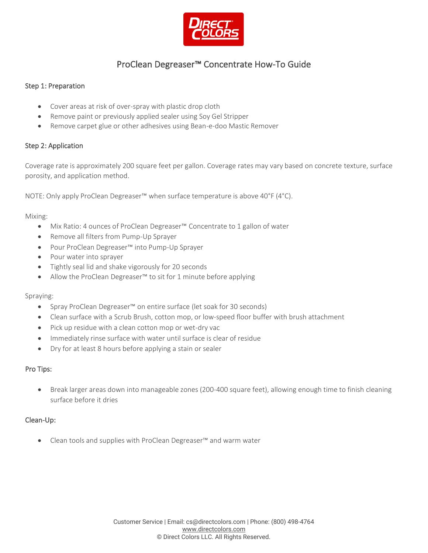

# ProClean Degreaser™ Concentrate How-To Guide

### Step 1: Preparation

- Cover areas at risk of over-spray with plastic drop cloth
- Remove paint or previously applied sealer using Soy Gel Stripper
- Remove carpet glue or other adhesives using Bean-e-doo Mastic Remover

### Step 2: Application

Coverage rate is approximately 200 square feet per gallon. Coverage rates may vary based on concrete texture, surface porosity, and application method.

NOTE: Only apply ProClean Degreaser™ when surface temperature is above 40°F (4°C).

#### Mixing:

- Mix Ratio: 4 ounces of ProClean Degreaser™ Concentrate to 1 gallon of water
- Remove all filters from Pump-Up Sprayer
- Pour ProClean Degreaser™ into Pump-Up Sprayer
- Pour water into sprayer
- Tightly seal lid and shake vigorously for 20 seconds
- Allow the ProClean Degreaser<sup>™</sup> to sit for 1 minute before applying

#### Spraying:

- Spray ProClean Degreaser™ on entire surface (let soak for 30 seconds)
- Clean surface with a Scrub Brush, cotton mop, or low-speed floor buffer with brush attachment
- Pick up residue with a clean cotton mop or wet-dry vac
- Immediately rinse surface with water until surface is clear of residue
- Dry for at least 8 hours before applying a stain or sealer

#### Pro Tips:

• Break larger areas down into manageable zones (200-400 square feet), allowing enough time to finish cleaning surface before it dries

#### Clean-Up:

• Clean tools and supplies with ProClean Degreaser™ and warm water